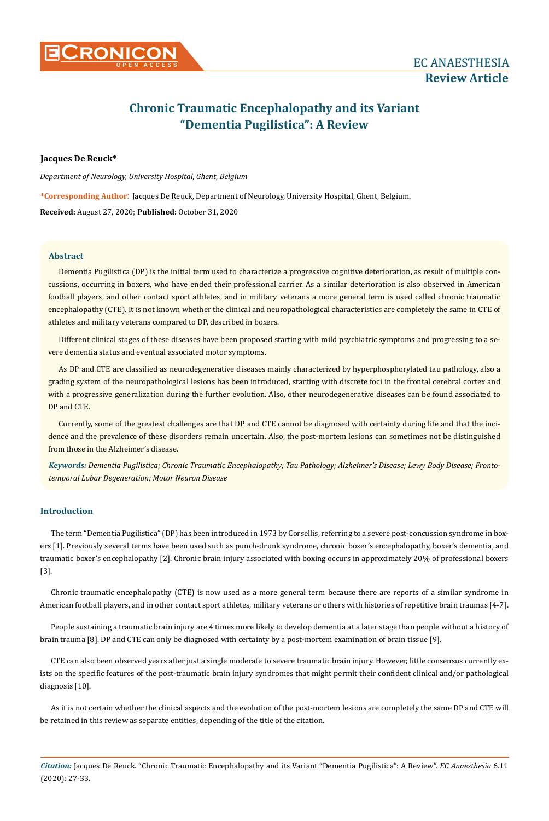

# **Chronic Traumatic Encephalopathy and its Variant "Dementia Pugilistica": A Review**

# **Jacques De Reuck\***

*Department of Neurology, University Hospital, Ghent, Belgium*

**\*Corresponding Author**: Jacques De Reuck, Department of Neurology, University Hospital, Ghent, Belgium.

**Received:** August 27, 2020; **Published:** October 31, 2020

# **Abstract**

Dementia Pugilistica (DP) is the initial term used to characterize a progressive cognitive deterioration, as result of multiple concussions, occurring in boxers, who have ended their professional carrier. As a similar deterioration is also observed in American football players, and other contact sport athletes, and in military veterans a more general term is used called chronic traumatic encephalopathy (CTE). It is not known whether the clinical and neuropathological characteristics are completely the same in CTE of athletes and military veterans compared to DP, described in boxers.

Different clinical stages of these diseases have been proposed starting with mild psychiatric symptoms and progressing to a severe dementia status and eventual associated motor symptoms.

As DP and CTE are classified as neurodegenerative diseases mainly characterized by hyperphosphorylated tau pathology, also a grading system of the neuropathological lesions has been introduced, starting with discrete foci in the frontal cerebral cortex and with a progressive generalization during the further evolution. Also, other neurodegenerative diseases can be found associated to DP and CTE.

Currently, some of the greatest challenges are that DP and CTE cannot be diagnosed with certainty during life and that the incidence and the prevalence of these disorders remain uncertain. Also, the post-mortem lesions can sometimes not be distinguished from those in the Alzheimer's disease.

*Keywords: Dementia Pugilistica; Chronic Traumatic Encephalopathy; Tau Pathology; Alzheimer's Disease; Lewy Body Disease; Frontotemporal Lobar Degeneration; Motor Neuron Disease*

# **Introduction**

The term "Dementia Pugilistica" (DP) has been introduced in 1973 by Corsellis, referring to a severe post-concussion syndrome in boxers [1]. Previously several terms have been used such as punch-drunk syndrome, chronic boxer's encephalopathy, boxer's dementia, and traumatic boxer's encephalopathy [2]. Chronic brain injury associated with boxing occurs in approximately 20% of professional boxers [3].

Chronic traumatic encephalopathy (CTE) is now used as a more general term because there are reports of a similar syndrome in American football players, and in other contact sport athletes, military veterans or others with histories of repetitive brain traumas [4-7].

People sustaining a traumatic brain injury are 4 times more likely to develop dementia at a later stage than people without a history of brain trauma [8]. DP and CTE can only be diagnosed with certainty by a post-mortem examination of brain tissue [9].

CTE can also been observed years after just a single moderate to severe traumatic brain injury. However, little consensus currently exists on the specific features of the post-traumatic brain injury syndromes that might permit their confident clinical and/or pathological diagnosis [10].

As it is not certain whether the clinical aspects and the evolution of the post-mortem lesions are completely the same DP and CTE will be retained in this review as separate entities, depending of the title of the citation.

*Citation:* Jacques De Reuck. "Chronic Traumatic Encephalopathy and its Variant "Dementia Pugilistica": A Review". *EC Anaesthesia* 6.11 (2020): 27-33.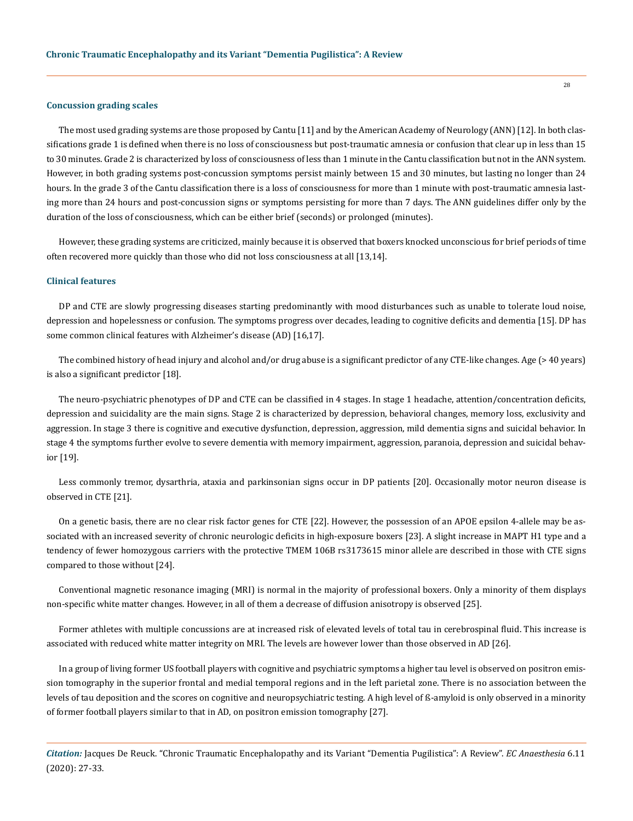#### **Concussion grading scales**

The most used grading systems are those proposed by Cantu [11] and by the American Academy of Neurology (ANN) [12]. In both classifications grade 1 is defined when there is no loss of consciousness but post-traumatic amnesia or confusion that clear up in less than 15 to 30 minutes. Grade 2 is characterized by loss of consciousness of less than 1 minute in the Cantu classification but not in the ANN system. However, in both grading systems post-concussion symptoms persist mainly between 15 and 30 minutes, but lasting no longer than 24 hours. In the grade 3 of the Cantu classification there is a loss of consciousness for more than 1 minute with post-traumatic amnesia lasting more than 24 hours and post-concussion signs or symptoms persisting for more than 7 days. The ANN guidelines differ only by the duration of the loss of consciousness, which can be either brief (seconds) or prolonged (minutes).

However, these grading systems are criticized, mainly because it is observed that boxers knocked unconscious for brief periods of time often recovered more quickly than those who did not loss consciousness at all [13,14].

## **Clinical features**

DP and CTE are slowly progressing diseases starting predominantly with mood disturbances such as unable to tolerate loud noise, depression and hopelessness or confusion. The symptoms progress over decades, leading to cognitive deficits and dementia [15]. DP has some common clinical features with Alzheimer's disease (AD) [16,17].

The combined history of head injury and alcohol and/or drug abuse is a significant predictor of any CTE-like changes. Age (> 40 years) is also a significant predictor [18].

The neuro-psychiatric phenotypes of DP and CTE can be classified in 4 stages. In stage 1 headache, attention/concentration deficits, depression and suicidality are the main signs. Stage 2 is characterized by depression, behavioral changes, memory loss, exclusivity and aggression. In stage 3 there is cognitive and executive dysfunction, depression, aggression, mild dementia signs and suicidal behavior. In stage 4 the symptoms further evolve to severe dementia with memory impairment, aggression, paranoia, depression and suicidal behavior [19].

Less commonly tremor, dysarthria, ataxia and parkinsonian signs occur in DP patients [20]. Occasionally motor neuron disease is observed in CTE [21].

On a genetic basis, there are no clear risk factor genes for CTE [22]. However, the possession of an APOE epsilon 4-allele may be associated with an increased severity of chronic neurologic deficits in high-exposure boxers [23]. A slight increase in MAPT H1 type and a tendency of fewer homozygous carriers with the protective TMEM 106B rs3173615 minor allele are described in those with CTE signs compared to those without [24].

Conventional magnetic resonance imaging (MRI) is normal in the majority of professional boxers. Only a minority of them displays non-specific white matter changes. However, in all of them a decrease of diffusion anisotropy is observed [25].

Former athletes with multiple concussions are at increased risk of elevated levels of total tau in cerebrospinal fluid. This increase is associated with reduced white matter integrity on MRI. The levels are however lower than those observed in AD [26].

In a group of living former US football players with cognitive and psychiatric symptoms a higher tau level is observed on positron emission tomography in the superior frontal and medial temporal regions and in the left parietal zone. There is no association between the levels of tau deposition and the scores on cognitive and neuropsychiatric testing. A high level of ß-amyloid is only observed in a minority of former football players similar to that in AD, on positron emission tomography [27].

*Citation:* Jacques De Reuck. "Chronic Traumatic Encephalopathy and its Variant "Dementia Pugilistica": A Review". *EC Anaesthesia* 6.11 (2020): 27-33.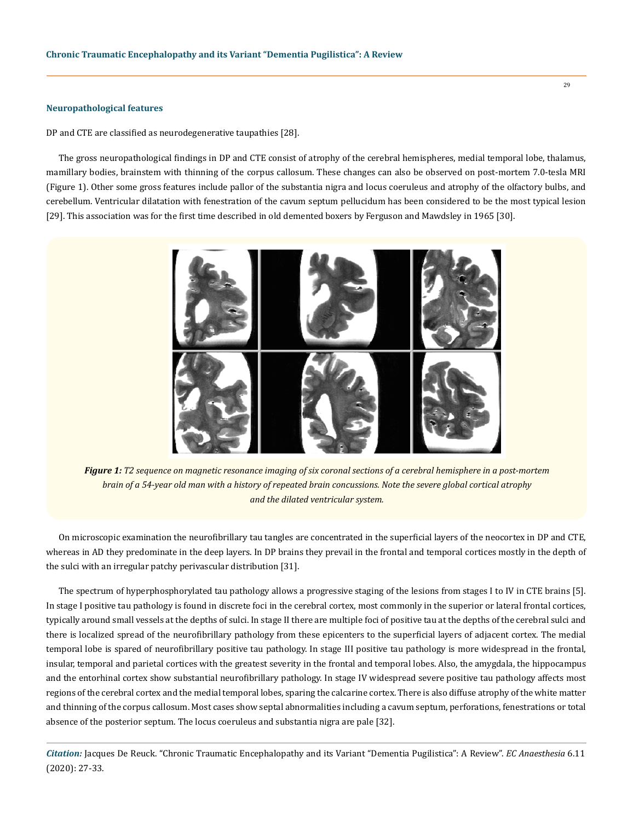#### **Neuropathological features**

DP and CTE are classified as neurodegenerative taupathies [28].

The gross neuropathological findings in DP and CTE consist of atrophy of the cerebral hemispheres, medial temporal lobe, thalamus, mamillary bodies, brainstem with thinning of the corpus callosum. These changes can also be observed on post-mortem 7.0-tesla MRI (Figure 1). Other some gross features include pallor of the substantia nigra and locus coeruleus and atrophy of the olfactory bulbs, and cerebellum. Ventricular dilatation with fenestration of the cavum septum pellucidum has been considered to be the most typical lesion [29]. This association was for the first time described in old demented boxers by Ferguson and Mawdsley in 1965 [30].



*Figure 1: T2 sequence on magnetic resonance imaging of six coronal sections of a cerebral hemisphere in a post-mortem brain of a 54-year old man with a history of repeated brain concussions. Note the severe global cortical atrophy and the dilated ventricular system.*

On microscopic examination the neurofibrillary tau tangles are concentrated in the superficial layers of the neocortex in DP and CTE, whereas in AD they predominate in the deep layers. In DP brains they prevail in the frontal and temporal cortices mostly in the depth of the sulci with an irregular patchy perivascular distribution [31].

The spectrum of hyperphosphorylated tau pathology allows a progressive staging of the lesions from stages I to IV in CTE brains [5]. In stage I positive tau pathology is found in discrete foci in the cerebral cortex, most commonly in the superior or lateral frontal cortices, typically around small vessels at the depths of sulci. In stage II there are multiple foci of positive tau at the depths of the cerebral sulci and there is localized spread of the neurofibrillary pathology from these epicenters to the superficial layers of adjacent cortex. The medial temporal lobe is spared of neurofibrillary positive tau pathology. In stage III positive tau pathology is more widespread in the frontal, insular, temporal and parietal cortices with the greatest severity in the frontal and temporal lobes. Also, the amygdala, the hippocampus and the entorhinal cortex show substantial neurofibrillary pathology. In stage IV widespread severe positive tau pathology affects most regions of the cerebral cortex and the medial temporal lobes, sparing the calcarine cortex. There is also diffuse atrophy of the white matter and thinning of the corpus callosum. Most cases show septal abnormalities including a cavum septum, perforations, fenestrations or total absence of the posterior septum. The locus coeruleus and substantia nigra are pale [32].

*Citation:* Jacques De Reuck. "Chronic Traumatic Encephalopathy and its Variant "Dementia Pugilistica": A Review". *EC Anaesthesia* 6.11 (2020): 27-33.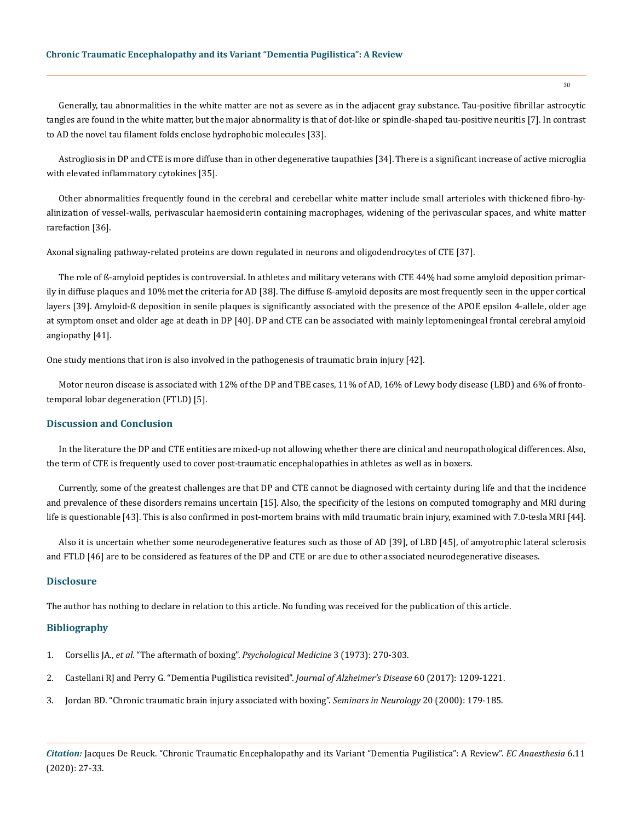Generally, tau abnormalities in the white matter are not as severe as in the adjacent gray substance. Tau-positive fibrillar astrocytic tangles are found in the white matter, but the major abnormality is that of dot-like or spindle-shaped tau-positive neuritis [7]. In contrast to AD the novel tau filament folds enclose hydrophobic molecules [33].

Astrogliosis in DP and CTE is more diffuse than in other degenerative taupathies [34]. There is a significant increase of active microglia with elevated inflammatory cytokines [35].

Other abnormalities frequently found in the cerebral and cerebellar white matter include small arterioles with thickened fibro-hyalinization of vessel-walls, perivascular haemosiderin containing macrophages, widening of the perivascular spaces, and white matter rarefaction [36].

Axonal signaling pathway-related proteins are down regulated in neurons and oligodendrocytes of CTE [37].

The role of ß-amyloid peptides is controversial. In athletes and military veterans with CTE 44% had some amyloid deposition primarily in diffuse plaques and 10% met the criteria for AD [38]. The diffuse ß-amyloid deposits are most frequently seen in the upper cortical layers [39]. Amyloid-ß deposition in senile plaques is significantly associated with the presence of the APOE epsilon 4-allele, older age at symptom onset and older age at death in DP [40]. DP and CTE can be associated with mainly leptomeningeal frontal cerebral amyloid angiopathy [41].

One study mentions that iron is also involved in the pathogenesis of traumatic brain injury [42].

Motor neuron disease is associated with 12% of the DP and TBE cases, 11% of AD, 16% of Lewy body disease (LBD) and 6% of frontotemporal lobar degeneration (FTLD) [5].

## **Discussion and Conclusion**

In the literature the DP and CTE entities are mixed-up not allowing whether there are clinical and neuropathological differences. Also, the term of CTE is frequently used to cover post-traumatic encephalopathies in athletes as well as in boxers.

Currently, some of the greatest challenges are that DP and CTE cannot be diagnosed with certainty during life and that the incidence and prevalence of these disorders remains uncertain [15]. Also, the specificity of the lesions on computed tomography and MRI during life is questionable [43]. This is also confirmed in post-mortem brains with mild traumatic brain injury, examined with 7.0-tesla MRI [44].

Also it is uncertain whether some neurodegenerative features such as those of AD [39], of LBD [45], of amyotrophic lateral sclerosis and FTLD [46] are to be considered as features of the DP and CTE or are due to other associated neurodegenerative diseases.

# **Disclosure**

The author has nothing to declare in relation to this article. No funding was received for the publication of this article.

## **Bibliography**

- 1. Corsellis JA., *et al*. "The aftermath of boxing". *[Psychological Medicine](https://pubmed.ncbi.nlm.nih.gov/4729191/)* 3 (1973): 270-303.
- 2. [Castellani RJ and Perry G. "Dementia Pugilistica revisited".](https://pubmed.ncbi.nlm.nih.gov/29036831/) *Journal of Alzheimer's Disease* 60 (2017): 1209-1221.
- 3. [Jordan BD. "Chronic traumatic brain injury associated with boxing".](https://pubmed.ncbi.nlm.nih.gov/10946737/) *Seminars in Neurology* 20 (2000): 179-185.

*Citation:* Jacques De Reuck. "Chronic Traumatic Encephalopathy and its Variant "Dementia Pugilistica": A Review". *EC Anaesthesia* 6.11 (2020): 27-33.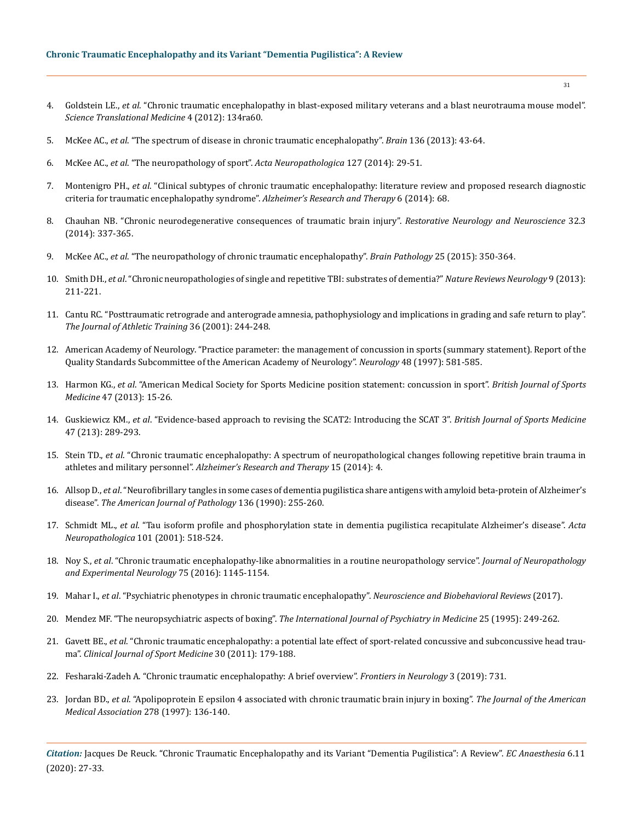- 4. Goldstein LE., *et al*[. "Chronic traumatic encephalopathy in blast-exposed military veterans and a blast neurotrauma mouse model".](https://pubmed.ncbi.nlm.nih.gov/22593173/)  *[Science Translational Medicine](https://pubmed.ncbi.nlm.nih.gov/22593173/)* 4 (2012): 134ra60.
- 5. McKee AC., *et al*[. "The spectrum of disease in chronic traumatic encephalopathy".](https://pubmed.ncbi.nlm.nih.gov/23208308/) *Brain* 136 (2013): 43-64.
- 6. McKee AC., *et al*[. "The neuropathology of sport".](https://pubmed.ncbi.nlm.nih.gov/24366527/) *Acta Neuropathologica* 127 (2014): 29-51.
- 7. Montenigro PH., *et al*[. "Clinical subtypes of chronic traumatic encephalopathy: literature review and proposed research diagnostic](https://www.ncbi.nlm.nih.gov/pmc/articles/PMC4288217/)  [criteria for traumatic encephalopathy syndrome".](https://www.ncbi.nlm.nih.gov/pmc/articles/PMC4288217/) *Alzheimer's Research and Therapy* 6 (2014): 68.
- 8. [Chauhan NB. "Chronic neurodegenerative consequences of traumatic brain injury".](https://pubmed.ncbi.nlm.nih.gov/24398724/) *Restorative Neurology and Neuroscience* 32.3 [\(2014\): 337-365.](https://pubmed.ncbi.nlm.nih.gov/24398724/)
- 9. McKee AC., *et al*[. "The neuropathology of chronic traumatic encephalopathy".](https://pubmed.ncbi.nlm.nih.gov/25904048/) *Brain Pathology* 25 (2015): 350-364.
- 10. Smith DH., *et al*[. "Chronic neuropathologies of single and repetitive TBI: substrates of dementia?"](https://www.ncbi.nlm.nih.gov/pmc/articles/PMC4513655/) *Nature Reviews Neurology* 9 (2013): [211-221.](https://www.ncbi.nlm.nih.gov/pmc/articles/PMC4513655/)
- 11. [Cantu RC. "Posttraumatic retrograde and anterograde amnesia, pathophysiology and implications in grading and safe return to play".](https://www.ncbi.nlm.nih.gov/pmc/articles/PMC155413/)  *[The Journal of Athletic Training](https://www.ncbi.nlm.nih.gov/pmc/articles/PMC155413/)* 36 (2001): 244-248.
- 12. [American Academy of Neurology. "Practice parameter: the management of concussion in sports \(summary statement\). Report of the](https://pubmed.ncbi.nlm.nih.gov/9065530/)  [Quality Standards Subcommittee of the American Academy of Neurology".](https://pubmed.ncbi.nlm.nih.gov/9065530/) *Neurology* 48 (1997): 581-585.
- 13. Harmon KG., *et al*[. "American Medical Society for Sports Medicine position statement: concussion in sport".](https://bjsm.bmj.com/content/53/4/213) *British Journal of Sports Medicine* [47 \(2013\): 15-26.](https://bjsm.bmj.com/content/53/4/213)
- 14. Guskiewicz KM., *et al*[. "Evidence-based approach to revising the SCAT2: Introducing the SCAT 3".](https://pubmed.ncbi.nlm.nih.gov/23479486/) *British Journal of Sports Medicine*  [47 \(213\): 289-293.](https://pubmed.ncbi.nlm.nih.gov/23479486/)
- 15. Stein TD., *et al*[. "Chronic traumatic encephalopathy: A spectrum of neuropathological changes following repetitive brain trauma in](https://www.researchgate.net/publication/259723395_Chronic_traumatic_encephalopathy_A_spectrum_of_neuropathological_changes_following_repetitive_brain_trauma_in_athletes_and_military_personnel)  athletes and military personnel". *[Alzheimer's Research and Therapy](https://www.researchgate.net/publication/259723395_Chronic_traumatic_encephalopathy_A_spectrum_of_neuropathological_changes_following_repetitive_brain_trauma_in_athletes_and_military_personnel)* 15 (2014): 4.
- 16. Allsop D., *et al*[. "Neurofibrillary tangles in some cases of dementia pugilistica share antigens with amyloid beta-protein of Alzheimer's](https://www.ncbi.nlm.nih.gov/pmc/articles/PMC1877395/)  disease". *[The American Journal of Pathology](https://www.ncbi.nlm.nih.gov/pmc/articles/PMC1877395/)* 136 (1990): 255-260.
- 17. Schmidt ML., *et al*[. "Tau isoform profile and phosphorylation state in dementia pugilistica recapitulate Alzheimer's disease".](https://pubmed.ncbi.nlm.nih.gov/11484824/) *Acta [Neuropathologica](https://pubmed.ncbi.nlm.nih.gov/11484824/)* 101 (2001): 518-524.
- 18. Noy S., *et al*[. "Chronic traumatic encephalopathy-like abnormalities in a routine neuropathology service".](https://pubmed.ncbi.nlm.nih.gov/27815395/) *Journal of Neuropathology [and Experimental Neurology](https://pubmed.ncbi.nlm.nih.gov/27815395/)* 75 (2016): 1145-1154.
- 19. Mahar I., *et al*[. "Psychiatric phenotypes in chronic traumatic encephalopathy".](https://www.researchgate.net/publication/319569098_Psychiatric_phenotypes_in_chronic_traumatic_encephalopathy) *Neuroscience and Biobehavioral Reviews* (2017).
- 20. Mendez MF. "The neuropsychiatric aspects of boxing". *[The International Journal of Psychiatry in Medicine](https://pubmed.ncbi.nlm.nih.gov/8567192/)* 25 (1995): 249-262.
- 21. Gavett BE., *et al*[. "Chronic traumatic encephalopathy: a potential late effect of sport-related concussive and subconcussive head trau](https://www.ncbi.nlm.nih.gov/pmc/articles/PMC2995699/)ma". *[Clinical Journal of Sport Medicine](https://www.ncbi.nlm.nih.gov/pmc/articles/PMC2995699/)* 30 (2011): 179-188.
- 22. [Fesharaki-Zadeh A. "Chronic traumatic encephalopathy: A brief overview".](https://www.ncbi.nlm.nih.gov/pmc/articles/PMC6616127/) *Frontiers in Neurology* 3 (2019): 731.
- 23. Jordan BD., *et al*[. "Apolipoprotein E epsilon 4 associated with chronic traumatic brain injury in boxing".](https://pubmed.ncbi.nlm.nih.gov/9214529/) *The Journal of the American [Medical Association](https://pubmed.ncbi.nlm.nih.gov/9214529/)* 278 (1997): 136-140.

*Citation:* Jacques De Reuck. "Chronic Traumatic Encephalopathy and its Variant "Dementia Pugilistica": A Review". *EC Anaesthesia* 6.11 (2020): 27-33.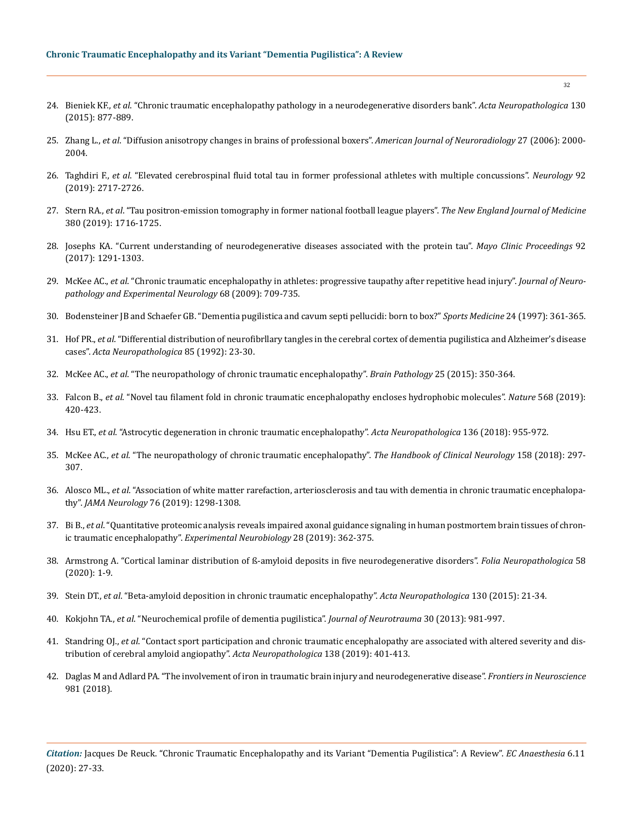## **Chronic Traumatic Encephalopathy and its Variant "Dementia Pugilistica": A Review**

- 24. Bieniek KF., *et al*[. "Chronic traumatic encephalopathy pathology in a neurodegenerative disorders bank".](https://pubmed.ncbi.nlm.nih.gov/26518018/) *Acta Neuropathologica* 130 [\(2015\): 877-889.](https://pubmed.ncbi.nlm.nih.gov/26518018/)
- 25. Zhang L., *et al*[. "Diffusion anisotropy changes in brains of professional boxers".](https://pubmed.ncbi.nlm.nih.gov/17032883/) *American Journal of Neuroradiology* 27 (2006): 2000- [2004.](https://pubmed.ncbi.nlm.nih.gov/17032883/)
- 26. Taghdiri F., *et al*[. "Elevated cerebrospinal fluid total tau in former professional athletes with multiple concussions".](https://n.neurology.org/content/92/23/e2717) *Neurology* 92 [\(2019\): 2717-2726.](https://n.neurology.org/content/92/23/e2717)
- 27. Stern RA., *et al*[. "Tau positron-emission tomography in former national football league players".](https://www.nejm.org/doi/full/10.1056/NEJMoa1900757) *The New England Journal of Medicine*  [380 \(2019\): 1716-1725.](https://www.nejm.org/doi/full/10.1056/NEJMoa1900757)
- 28. [Josephs KA. "Current understanding of neurodegenerative diseases associated with the protein tau".](https://pubmed.ncbi.nlm.nih.gov/28778262/) *Mayo Clinic Proceedings* 92 [\(2017\): 1291-1303.](https://pubmed.ncbi.nlm.nih.gov/28778262/)
- 29. McKee AC., *et al*[. "Chronic traumatic encephalopathy in athletes: progressive taupathy after repetitive head injury".](https://pubmed.ncbi.nlm.nih.gov/19535999/) *Journal of Neuro[pathology and Experimental Neurology](https://pubmed.ncbi.nlm.nih.gov/19535999/)* 68 (2009): 709-735.
- 30. [Bodensteiner JB and Schaefer GB. "Dementia pugilistica and cavum septi pellucidi: born to box?"](https://pubmed.ncbi.nlm.nih.gov/9421861/) *Sports Medicine* 24 (1997): 361-365.
- 31. Hof PR., *et al*[. "Differential distribution of neurofibrllary tangles in the cerebral cortex of dementia pugilistica and Alzheimer's disease](https://link.springer.com/article/10.1007/BF00304630)  cases". *[Acta Neuropathologica](https://link.springer.com/article/10.1007/BF00304630)* 85 (1992): 23-30.
- 32. McKee AC., *et al*[. "The neuropathology of chronic traumatic encephalopathy".](https://pubmed.ncbi.nlm.nih.gov/25904048/) *Brain Pathology* 25 (2015): 350-364.
- 33. Falcon B., *et al*[. "Novel tau filament fold in chronic traumatic encephalopathy encloses hydrophobic molecules".](https://www.nature.com/articles/s41586-019-1026-5) *Nature* 568 (2019): [420-423.](https://www.nature.com/articles/s41586-019-1026-5)
- 34. Hsu ET., *et al*[. "Astrocytic degeneration in chronic traumatic encephalopathy".](https://pubmed.ncbi.nlm.nih.gov/30194648/) *Acta Neuropathologica* 136 (2018): 955-972.
- 35. McKee AC., *et al*[. "The neuropathology of chronic traumatic encephalopathy".](https://pubmed.ncbi.nlm.nih.gov/25904048/) *The Handbook of Clinical Neurology* 158 (2018): 297- [307.](https://pubmed.ncbi.nlm.nih.gov/25904048/)
- 36. Alosco ML., *et al*[. "Association of white matter rarefaction, arteriosclerosis and tau with dementia in chronic traumatic encephalopa](https://pubmed.ncbi.nlm.nih.gov/31380975/)thy". *JAMA Neurology* [76 \(2019\): 1298-1308.](https://pubmed.ncbi.nlm.nih.gov/31380975/)
- 37. Bi B., *et al*[. "Quantitative proteomic analysis reveals impaired axonal guidance signaling in human postmortem brain tissues of chron](https://pubmed.ncbi.nlm.nih.gov/31308796/)ic traumatic encephalopathy". *[Experimental Neurobiology](https://pubmed.ncbi.nlm.nih.gov/31308796/)* 28 (2019): 362-375.
- 38. [Armstrong A. "Cortical laminar distribution of ß-amyloid deposits in five neurodegenerative disorders".](https://www.researchgate.net/publication/340799347_Cortical_laminar_distribution_of_b-amyloid_deposits_in_five_neurodegenerative_disorders) *Folia Neuropathologica* 58 [\(2020\): 1-9.](https://www.researchgate.net/publication/340799347_Cortical_laminar_distribution_of_b-amyloid_deposits_in_five_neurodegenerative_disorders)
- 39. Stein DT., *et al*[. "Beta-amyloid deposition in chronic traumatic encephalopathy".](https://pubmed.ncbi.nlm.nih.gov/25943889/) *Acta Neuropathologica* 130 (2015): 21-34.
- 40. Kokjohn TA., *et al*[. "Neurochemical profile of dementia pugilistica".](https://www.ncbi.nlm.nih.gov/pmc/articles/PMC3684215/) *Journal of Neurotrauma* 30 (2013): 981-997.
- 41. Standring OJ., *et al*[. "Contact sport participation and chronic traumatic encephalopathy are associated with altered severity and dis](https://pubmed.ncbi.nlm.nih.gov/31183671/)[tribution of cerebral amyloid angiopathy".](https://pubmed.ncbi.nlm.nih.gov/31183671/) *Acta Neuropathologica* 138 (2019): 401-413.
- 42. [Daglas M and Adlard PA. "The involvement of iron in traumatic brain injury and neurodegenerative disease".](https://www.ncbi.nlm.nih.gov/pmc/articles/PMC6306469/) *Frontiers in Neuroscience*  [981 \(2018\).](https://www.ncbi.nlm.nih.gov/pmc/articles/PMC6306469/)

*Citation:* Jacques De Reuck. "Chronic Traumatic Encephalopathy and its Variant "Dementia Pugilistica": A Review". *EC Anaesthesia* 6.11 (2020): 27-33.